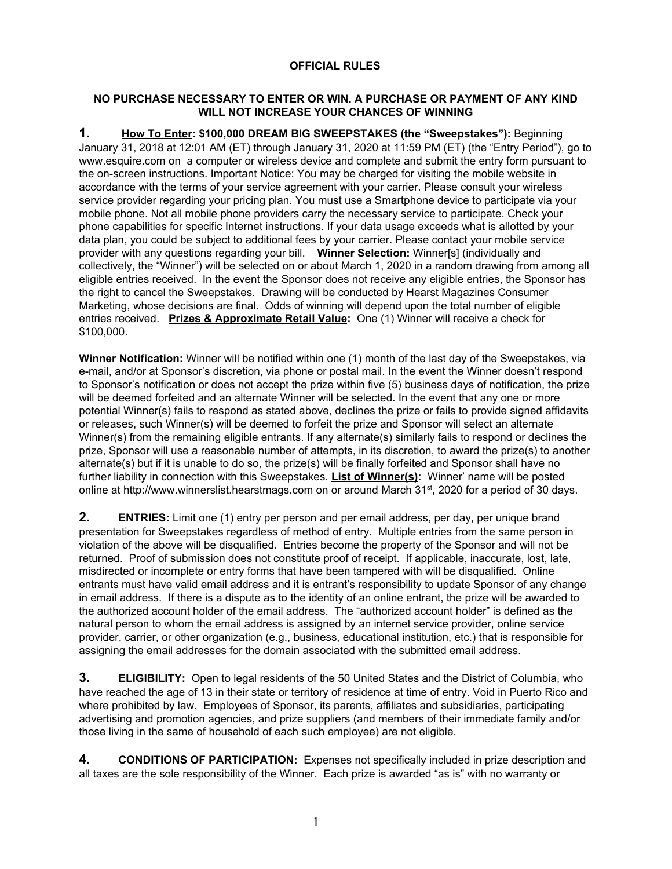## **OFFICIAL RULES**

## **NO PURCHASE NECESSARY TO ENTER OR WIN. A PURCHASE OR PAYMENT OF ANY KIND WILL NOT INCREASE YOUR CHANCES OF WINNING**

**1. How To Enter: \$100,000 DREAM BIG SWEEPSTAKES (the "Sweepstakes"):** Beginning January 31, 2018 at 12:01 AM (ET) through January 31, 2020 at 11:59 PM (ET) (the "Entry Period"), go to www.esquire.com on a computer or wireless device and complete and submit the entry form pursuant to the on-screen instructions. Important Notice: You may be charged for visiting the mobile website in accordance with the terms of your service agreement with your carrier. Please consult your wireless service provider regarding your pricing plan. You must use a Smartphone device to participate via your mobile phone. Not all mobile phone providers carry the necessary service to participate. Check your phone capabilities for specific Internet instructions. If your data usage exceeds what is allotted by your data plan, you could be subject to additional fees by your carrier. Please contact your mobile service provider with any questions regarding your bill. **Winner Selection:** Winner[s] (individually and collectively, the "Winner") will be selected on or about March 1, 2020 in a random drawing from among all eligible entries received. In the event the Sponsor does not receive any eligible entries, the Sponsor has the right to cancel the Sweepstakes. Drawing will be conducted by Hearst Magazines Consumer Marketing, whose decisions are final. Odds of winning will depend upon the total number of eligible entries received. **Prizes & Approximate Retail Value:** One (1) Winner will receive a check for \$100,000.

**Winner Notification:** Winner will be notified within one (1) month of the last day of the Sweepstakes, via e-mail, and/or at Sponsor's discretion, via phone or postal mail. In the event the Winner doesn't respond to Sponsor's notification or does not accept the prize within five (5) business days of notification, the prize will be deemed forfeited and an alternate Winner will be selected. In the event that any one or more potential Winner(s) fails to respond as stated above, declines the prize or fails to provide signed affidavits or releases, such Winner(s) will be deemed to forfeit the prize and Sponsor will select an alternate Winner(s) from the remaining eligible entrants. If any alternate(s) similarly fails to respond or declines the prize, Sponsor will use a reasonable number of attempts, in its discretion, to award the prize(s) to another alternate(s) but if it is unable to do so, the prize(s) will be finally forfeited and Sponsor shall have no further liability in connection with this Sweepstakes. **List of Winner(s):** Winner' name will be posted online at [http://www.winnerslist.hearstmags.com](http://www.winnerslist.hearstmags.com/) on or around March 31st, 2020 for a period of 30 days.

**2. ENTRIES:** Limit one (1) entry per person and per email address, per day, per unique brand presentation for Sweepstakes regardless of method of entry. Multiple entries from the same person in violation of the above will be disqualified. Entries become the property of the Sponsor and will not be returned. Proof of submission does not constitute proof of receipt. If applicable, inaccurate, lost, late, misdirected or incomplete or entry forms that have been tampered with will be disqualified. Online entrants must have valid email address and it is entrant's responsibility to update Sponsor of any change in email address. If there is a dispute as to the identity of an online entrant, the prize will be awarded to the authorized account holder of the email address. The "authorized account holder" is defined as the natural person to whom the email address is assigned by an internet service provider, online service provider, carrier, or other organization (e.g., business, educational institution, etc.) that is responsible for assigning the email addresses for the domain associated with the submitted email address.

**3. ELIGIBILITY:** Open to legal residents of the <sup>50</sup> United States and the District of Columbia, who have reached the age of 13 in their state or territory of residence at time of entry. Void in Puerto Rico and where prohibited by law. Employees of Sponsor, its parents, affiliates and subsidiaries, participating advertising and promotion agencies, and prize suppliers (and members of their immediate family and/or those living in the same of household of each such employee) are not eligible.

**4. CONDITIONS OF PARTICIPATION:** Expenses not specifically included in prize description and all taxes are the sole responsibility of the Winner. Each prize is awarded "as is" with no warranty or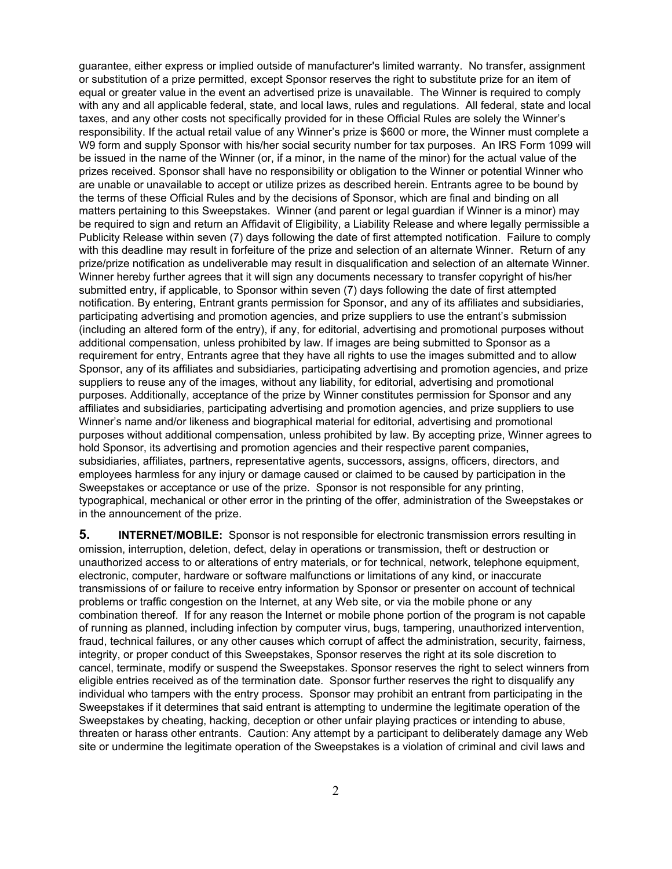guarantee, either express or implied outside of manufacturer's limited warranty. No transfer, assignment or substitution of a prize permitted, except Sponsor reserves the right to substitute prize for an item of equal or greater value in the event an advertised prize is unavailable. The Winner is required to comply with any and all applicable federal, state, and local laws, rules and regulations. All federal, state and local taxes, and any other costs not specifically provided for in these Official Rules are solely the Winner's responsibility. If the actual retail value of any Winner's prize is \$600 or more, the Winner must complete a W9 form and supply Sponsor with his/her social security number for tax purposes. An IRS Form 1099 will be issued in the name of the Winner (or, if a minor, in the name of the minor) for the actual value of the prizes received. Sponsor shall have no responsibility or obligation to the Winner or potential Winner who are unable or unavailable to accept or utilize prizes as described herein. Entrants agree to be bound by the terms of these Official Rules and by the decisions of Sponsor, which are final and binding on all matters pertaining to this Sweepstakes. Winner (and parent or legal guardian if Winner is a minor) may be required to sign and return an Affidavit of Eligibility, a Liability Release and where legally permissible a Publicity Release within seven (7) days following the date of first attempted notification. Failure to comply with this deadline may result in forfeiture of the prize and selection of an alternate Winner. Return of any prize/prize notification as undeliverable may result in disqualification and selection of an alternate Winner. Winner hereby further agrees that it will sign any documents necessary to transfer copyright of his/her submitted entry, if applicable, to Sponsor within seven (7) days following the date of first attempted notification. By entering, Entrant grants permission for Sponsor, and any of its affiliates and subsidiaries, participating advertising and promotion agencies, and prize suppliers to use the entrant's submission (including an altered form of the entry), if any, for editorial, advertising and promotional purposes without additional compensation, unless prohibited by law. If images are being submitted to Sponsor as a requirement for entry, Entrants agree that they have all rights to use the images submitted and to allow Sponsor, any of its affiliates and subsidiaries, participating advertising and promotion agencies, and prize suppliers to reuse any of the images, without any liability, for editorial, advertising and promotional purposes. Additionally, acceptance of the prize by Winner constitutes permission for Sponsor and any affiliates and subsidiaries, participating advertising and promotion agencies, and prize suppliers to use Winner's name and/or likeness and biographical material for editorial, advertising and promotional purposes without additional compensation, unless prohibited by law. By accepting prize, Winner agrees to hold Sponsor, its advertising and promotion agencies and their respective parent companies, subsidiaries, affiliates, partners, representative agents, successors, assigns, officers, directors, and employees harmless for any injury or damage caused or claimed to be caused by participation in the Sweepstakes or acceptance or use of the prize. Sponsor is not responsible for any printing, typographical, mechanical or other error in the printing of the offer, administration of the Sweepstakes or in the announcement of the prize.

**5. INTERNET/MOBILE:** Sponsor is not responsible for electronic transmission errors resulting in omission, interruption, deletion, defect, delay in operations or transmission, theft or destruction or unauthorized access to or alterations of entry materials, or for technical, network, telephone equipment, electronic, computer, hardware or software malfunctions or limitations of any kind, or inaccurate transmissions of or failure to receive entry information by Sponsor or presenter on account of technical problems or traffic congestion on the Internet, at any Web site, or via the mobile phone or any combination thereof. If for any reason the Internet or mobile phone portion of the program is not capable of running as planned, including infection by computer virus, bugs, tampering, unauthorized intervention, fraud, technical failures, or any other causes which corrupt of affect the administration, security, fairness, integrity, or proper conduct of this Sweepstakes, Sponsor reserves the right at its sole discretion to cancel, terminate, modify or suspend the Sweepstakes. Sponsor reserves the right to select winners from eligible entries received as of the termination date. Sponsor further reserves the right to disqualify any individual who tampers with the entry process. Sponsor may prohibit an entrant from participating in the Sweepstakes if it determines that said entrant is attempting to undermine the legitimate operation of the Sweepstakes by cheating, hacking, deception or other unfair playing practices or intending to abuse, threaten or harass other entrants. Caution: Any attempt by a participant to deliberately damage any Web site or undermine the legitimate operation of the Sweepstakes is a violation of criminal and civil laws and